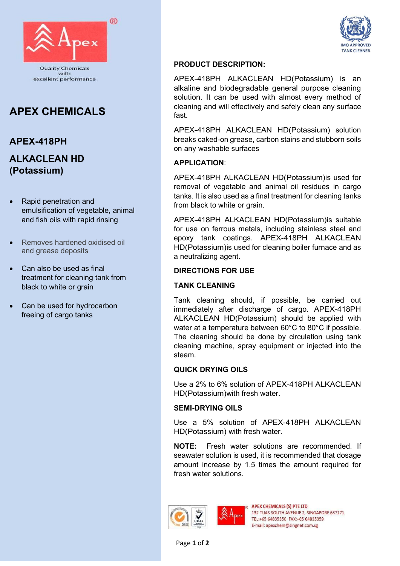

# APEX CHEMICALS

# APEX-418PH ALKACLEAN HD

(Potassium)

- Rapid penetration and emulsification of vegetable, animal and fish oils with rapid rinsing
- Removes hardened oxidised oil and grease deposits
- Can also be used as final treatment for cleaning tank from black to white or grain
- Can be used for hydrocarbon freeing of cargo tanks



#### PRODUCT DESCRIPTION:

APEX-418PH ALKACLEAN HD(Potassium) is an alkaline and biodegradable general purpose cleaning solution. It can be used with almost every method of cleaning and will effectively and safely clean any surface fast.

APEX-418PH ALKACLEAN HD(Potassium) solution breaks caked-on grease, carbon stains and stubborn soils on any washable surfaces

#### APPLICATION:

APEX-418PH ALKACLEAN HD(Potassium)is used for removal of vegetable and animal oil residues in cargo tanks. It is also used as a final treatment for cleaning tanks from black to white or grain.

APEX-418PH ALKACLEAN HD(Potassium)is suitable for use on ferrous metals, including stainless steel and epoxy tank coatings. APEX-418PH ALKACLEAN HD(Potassium)is used for cleaning boiler furnace and as a neutralizing agent.

#### DIRECTIONS FOR USE

#### TANK CLEANING

Tank cleaning should, if possible, be carried out immediately after discharge of cargo. APEX-418PH ALKACLEAN HD(Potassium) should be applied with water at a temperature between 60°C to 80°C if possible. The cleaning should be done by circulation using tank cleaning machine, spray equipment or injected into the steam.

#### QUICK DRYING OILS

Use a 2% to 6% solution of APEX-418PH ALKACLEAN HD(Potassium)with fresh water.

#### SEMI-DRYING OILS

Use a 5% solution of APEX-418PH ALKACLEAN HD(Potassium) with fresh water.

NOTE: Fresh water solutions are recommended. If seawater solution is used, it is recommended that dosage amount increase by 1.5 times the amount required for fresh water solutions.





**APEX CHEMICALS (S) PTE ITD** 132 TUAS SOUTH AVENUE 2, SINGAPORE 637171 TEL:+65 64835350 FAX:+65 64835359 E-mail: apexchem@singnet.com.sg